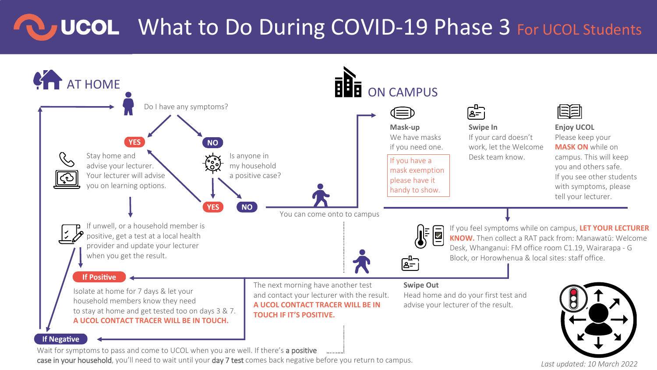## **COU What to Do During COVID-19 Phase 3 For UCOL Students**



case in your household, you'll need to wait until your day 7 test comes back negative before you return to campus.

*Last updated: 10 March 2022*